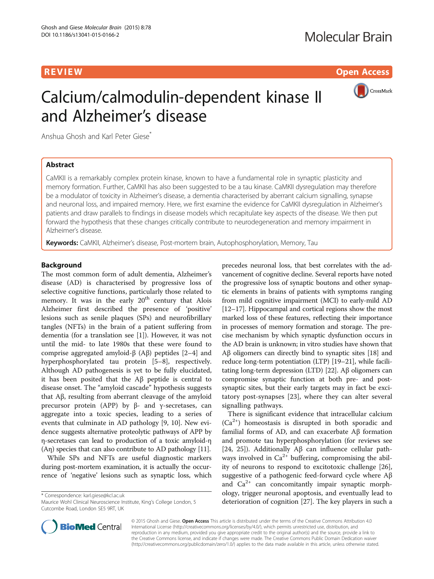**REVIEW CONSTRUCTION CONSTRUCTION CONSTRUCTS** 



# Calcium/calmodulin-dependent kinase II and Alzheimer's disease

Anshua Ghosh and Karl Peter Giese<sup>®</sup>

# Abstract

CaMKII is a remarkably complex protein kinase, known to have a fundamental role in synaptic plasticity and memory formation. Further, CaMKII has also been suggested to be a tau kinase. CaMKII dysregulation may therefore be a modulator of toxicity in Alzheimer's disease, a dementia characterised by aberrant calcium signalling, synapse and neuronal loss, and impaired memory. Here, we first examine the evidence for CaMKII dysregulation in Alzheimer's patients and draw parallels to findings in disease models which recapitulate key aspects of the disease. We then put forward the hypothesis that these changes critically contribute to neurodegeneration and memory impairment in Alzheimer's disease.

Keywords: CaMKII, Alzheimer's disease, Post-mortem brain, Autophosphorylation, Memory, Tau

## Background

The most common form of adult dementia, Alzheimer's disease (AD) is characterised by progressive loss of selective cognitive functions, particularly those related to memory. It was in the early  $20<sup>th</sup>$  century that Alois Alzheimer first described the presence of 'positive' lesions such as senile plaques (SPs) and neurofibrillary tangles (NFTs) in the brain of a patient suffering from dementia (for a translation see [[1](#page-4-0)]). However, it was not until the mid- to late 1980s that these were found to comprise aggregated amyloid-β (Aβ) peptides  $[2-4]$  $[2-4]$  $[2-4]$  $[2-4]$  and hyperphosphorylated tau protein [[5](#page-4-0)–[8\]](#page-4-0), respectively. Although AD pathogenesis is yet to be fully elucidated, it has been posited that the Aβ peptide is central to disease onset. The "amyloid cascade" hypothesis suggests that Aβ, resulting from aberrant cleavage of the amyloid precursor protein (APP) by β- and γ-secretases, can aggregate into a toxic species, leading to a series of events that culminate in AD pathology [\[9](#page-4-0), [10\]](#page-4-0). New evidence suggests alternative proteolytic pathways of APP by η-secretases can lead to production of a toxic amyloid-η (Aη) species that can also contribute to AD pathology [[11](#page-4-0)].

While SPs and NFTs are useful diagnostic markers during post-mortem examination, it is actually the occurrence of 'negative' lesions such as synaptic loss, which

\* Correspondence: [karl.giese@kcl.ac.uk](mailto:karl.giese@kcl.ac.uk)

Maurice Wohl Clinical Neuroscience Institute, King's College London, 5 Cutcombe Road, London SE5 9RT, UK

precedes neuronal loss, that best correlates with the advancement of cognitive decline. Several reports have noted the progressive loss of synaptic boutons and other synaptic elements in brains of patients with symptoms ranging from mild cognitive impairment (MCI) to early-mild AD [[12](#page-4-0)–[17\]](#page-4-0). Hippocampal and cortical regions show the most marked loss of these features, reflecting their importance in processes of memory formation and storage. The precise mechanism by which synaptic dysfunction occurs in the AD brain is unknown; in vitro studies have shown that Aβ oligomers can directly bind to synaptic sites [\[18](#page-4-0)] and reduce long-term potentiation (LTP) [\[19](#page-4-0)–[21\]](#page-5-0), while facilitating long-term depression (LTD) [[22](#page-5-0)]. Aβ oligomers can compromise synaptic function at both pre- and postsynaptic sites, but their early targets may in fact be excitatory post-synapses [[23\]](#page-5-0), where they can alter several signalling pathways.

There is significant evidence that intracellular calcium  $(Ca^{2+})$  homeostasis is disrupted in both sporadic and familial forms of AD, and can exacerbate Aβ formation and promote tau hyperphosphorylation (for reviews see [[24, 25\]](#page-5-0)). Additionally Aβ can influence cellular pathways involved in  $Ca^{2+}$  buffering, compromising the ability of neurons to respond to excitotoxic challenge [\[26](#page-5-0)], suggestive of a pathogenic feed-forward cycle where Aβ and  $Ca^{2+}$  can concomitantly impair synaptic morphology, trigger neuronal apoptosis, and eventually lead to deterioration of cognition [\[27\]](#page-5-0). The key players in such a



© 2015 Ghosh and Giese. Open Access This article is distributed under the terms of the Creative Commons Attribution 4.0 International License (http://creativecommons.org/licenses/by/4.0/), which permits unrestricted use, distribution, and reproduction in any medium, provided you give appropriate credit to the original author(s) and the source, provide a link to the Creative Commons license, and indicate if changes were made. The Creative Commons Public Domain Dedication waiver (http://creativecommons.org/publicdomain/zero/1.0/) applies to the data made available in this article, unless otherwise stated.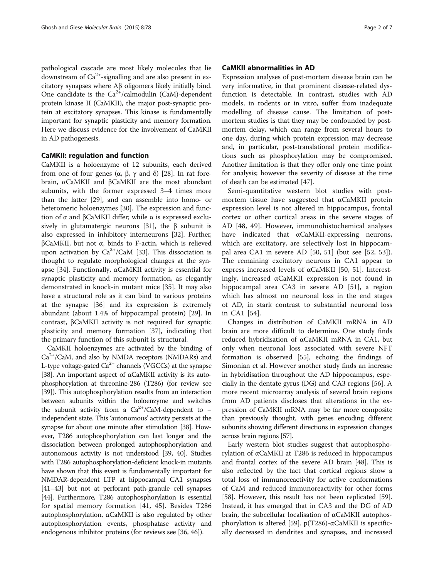pathological cascade are most likely molecules that lie downstream of  $Ca^{2+}$ -signalling and are also present in excitatory synapses where Aβ oligomers likely initially bind. One candidate is the  $Ca^{2+}/cal$ calmodulin (CaM)-dependent protein kinase II (CaMKII), the major post-synaptic protein at excitatory synapses. This kinase is fundamentally important for synaptic plasticity and memory formation. Here we discuss evidence for the involvement of CaMKII in AD pathogenesis.

#### CaMKII: regulation and function

CaMKII is a holoenzyme of 12 subunits, each derived from one of four genes (α, β, γ and δ) [[28\]](#page-5-0). In rat forebrain, αCaMKII and βCaMKII are the most abundant subunits, with the former expressed 3–4 times more than the latter [\[29](#page-5-0)], and can assemble into homo- or heteromeric holoenzymes [[30\]](#page-5-0). The expression and function of α and βCaMKII differ; while α is expressed exclu-sively in glutamatergic neurons [[31](#page-5-0)], the  $\beta$  subunit is also expressed in inhibitory interneurons [[32](#page-5-0)]. Further, βCaMKII, but not α, binds to F-actin, which is relieved upon activation by  $Ca^{2+}/CaM$  [\[33\]](#page-5-0). This dissociation is thought to regulate morphological changes at the synapse [\[34](#page-5-0)]. Functionally, αCaMKII activity is essential for synaptic plasticity and memory formation, as elegantly demonstrated in knock-in mutant mice [\[35\]](#page-5-0). It may also have a structural role as it can bind to various proteins at the synapse [\[36\]](#page-5-0) and its expression is extremely abundant (about 1.4% of hippocampal protein) [\[29](#page-5-0)]. In contrast, βCaMKII activity is not required for synaptic plasticity and memory formation [[37\]](#page-5-0), indicating that the primary function of this subunit is structural.

CaMKII holoenzymes are activated by the binding of  $Ca^{2+}/CaM$ , and also by NMDA receptors (NMDARs) and L-type voltage-gated  $Ca^{2+}$  channels (VGCCs) at the synapse [[38](#page-5-0)]. An important aspect of αCaMKII activity is its autophosphorylation at threonine-286 (T286) (for review see [[39](#page-5-0)]). This autophosphorylation results from an interaction between subunits within the holoenzyme and switches the subunit activity from a  $Ca^{2+}/CaM$ -dependent to – independent state. This 'autonomous' activity persists at the synapse for about one minute after stimulation [\[38\]](#page-5-0). However, T286 autophosphorylation can last longer and the dissociation between prolonged autophosphorylation and autonomous activity is not understood [\[39](#page-5-0), [40\]](#page-5-0). Studies with T286 autophosphorylation-deficient knock-in mutants have shown that this event is fundamentally important for NMDAR-dependent LTP at hippocampal CA1 synapses [[41](#page-5-0)–[43](#page-5-0)] but not at perforant path-granule cell synapses [[44](#page-5-0)]. Furthermore, T286 autophosphorylation is essential for spatial memory formation [\[41](#page-5-0), [45\]](#page-5-0). Besides T286 autophosphorylation, αCaMKII is also regulated by other autophosphorylation events, phosphatase activity and endogenous inhibitor proteins (for reviews see [\[36, 46](#page-5-0)]).

### CaMKII abnormalities in AD

Expression analyses of post-mortem disease brain can be very informative, in that prominent disease-related dysfunction is detectable. In contrast, studies with AD models, in rodents or in vitro, suffer from inadequate modelling of disease cause. The limitation of postmortem studies is that they may be confounded by postmortem delay, which can range from several hours to one day, during which protein expression may decrease and, in particular, post-translational protein modifications such as phosphorylation may be compromised. Another limitation is that they offer only one time point for analysis; however the severity of disease at the time of death can be estimated [\[47\]](#page-5-0).

Semi-quantitative western blot studies with postmortem tissue have suggested that αCaMKII protein expression level is not altered in hippocampus, frontal cortex or other cortical areas in the severe stages of AD [[48](#page-5-0), [49\]](#page-5-0). However, immunohistochemical analyses have indicated that αCaMKII-expressing neurons, which are excitatory, are selectively lost in hippocampal area CA1 in severe AD [[50, 51\]](#page-5-0) (but see [[52, 53\]](#page-5-0)). The remaining excitatory neurons in CA1 appear to express increased levels of αCaMKII [[50, 51\]](#page-5-0). Interestingly, increased αCaMKII expression is not found in hippocampal area CA3 in severe AD [[51\]](#page-5-0), a region which has almost no neuronal loss in the end stages of AD, in stark contrast to substantial neuronal loss in CA1 [[54\]](#page-5-0).

Changes in distribution of CaMKII mRNA in AD brain are more difficult to determine. One study finds reduced hybridisation of αCaMKII mRNA in CA1, but only when neuronal loss associated with severe NFT formation is observed [\[55](#page-5-0)], echoing the findings of Simonian et al. However another study finds an increase in hybridisation throughout the AD hippocampus, especially in the dentate gyrus (DG) and CA3 regions [\[56](#page-5-0)]. A more recent microarray analysis of several brain regions from AD patients discloses that alterations in the expression of CaMKII mRNA may be far more composite than previously thought, with genes encoding different subunits showing different directions in expression changes across brain regions [\[57\]](#page-5-0).

Early western blot studies suggest that autophosphorylation of αCaMKII at T286 is reduced in hippocampus and frontal cortex of the severe AD brain [[48](#page-5-0)]. This is also reflected by the fact that cortical regions show a total loss of immunoreactivity for active conformations of CaM and reduced immunoreactivity for other forms [[58\]](#page-5-0). However, this result has not been replicated [\[59](#page-5-0)]. Instead, it has emerged that in CA3 and the DG of AD brain, the subcellular localisation of αCaMKII autophos-phorylation is altered [[59](#page-5-0)].  $p(T286)$ -αCaMKII is specifically decreased in dendrites and synapses, and increased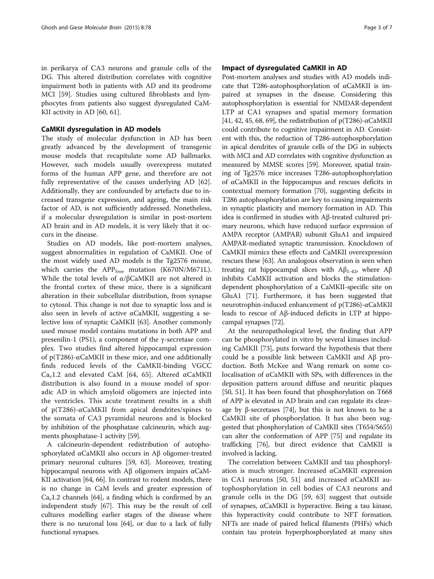in perikarya of CA3 neurons and granule cells of the DG. This altered distribution correlates with cognitive impairment both in patients with AD and its prodrome MCI [[59\]](#page-5-0). Studies using cultured fibroblasts and lymphocytes from patients also suggest dysregulated CaM-KII activity in AD [[60, 61\]](#page-5-0).

# CaMKII dysregulation in AD models

The study of molecular dysfunction in AD has been greatly advanced by the development of transgenic mouse models that recapitulate some AD hallmarks. However, such models usually overexpress mutated forms of the human APP gene, and therefore are not fully representative of the causes underlying AD [\[62](#page-5-0)]. Additionally, they are confounded by artefacts due to increased transgene expression, and ageing, the main risk factor of AD, is not sufficiently addressed. Nonetheless, if a molecular dysregulation is similar in post-mortem AD brain and in AD models, it is very likely that it occurs in the disease.

Studies on AD models, like post-mortem analyses, suggest abnormalities in regulation of CaMKII. One of the most widely used AD models is the Tg2576 mouse, which carries the  $APP<sub>Swe</sub>$  mutation (K670N/M671L). While the total levels of α/βCaMKII are not altered in the frontal cortex of these mice, there is a significant alteration in their subcellular distribution, from synapse to cytosol. This change is not due to synaptic loss and is also seen in levels of active αCaMKII, suggesting a selective loss of synaptic CaMKII [[63](#page-5-0)]. Another commonly used mouse model contains mutations in both APP and presenilin-1 (PS1), a component of the γ-secretase complex. Two studies find altered hippocampal expression of p(T286)-αCaMKII in these mice, and one additionally finds reduced levels of the CaMKII-binding VGCC Ca<sub>v</sub>1.2 and elevated CaM [[64](#page-5-0), [65](#page-6-0)]. Altered  $\alpha$ CaMKII distribution is also found in a mouse model of sporadic AD in which amyloid oligomers are injected into the ventricles. This acute treatment results in a shift of p(T286)-αCaMKII from apical dendrites/spines to the somata of CA3 pyramidal neurons and is blocked by inhibition of the phosphatase calcineurin, which augments phosphatase-1 activity [\[59\]](#page-5-0).

A calcineurin-dependent redistribution of autophosphorylated αCaMKII also occurs in Aβ oligomer-treated primary neuronal cultures [[59](#page-5-0), [63\]](#page-5-0). Moreover, treating hippocampal neurons with Aβ oligomers impairs αCaM-KII activation [\[64,](#page-5-0) [66](#page-6-0)]. In contrast to rodent models, there is no change in CaM levels and greater expression of  $Ca<sub>v</sub>1.2$  channels [[64](#page-5-0)], a finding which is confirmed by an independent study [\[67\]](#page-6-0). This may be the result of cell cultures modelling earlier stages of the disease where there is no neuronal loss [[64](#page-5-0)], or due to a lack of fully functional synapses.

### Impact of dysregulated CaMKII in AD

Post-mortem analyses and studies with AD models indicate that T286-autophosphorylation of αCaMKII is impaired at synapses in the disease. Considering this autophosphorylation is essential for NMDAR-dependent LTP at CA1 synapses and spatial memory formation [[41](#page-5-0), [42, 45,](#page-5-0) [68](#page-6-0), [69](#page-6-0)], the redistribution of  $p(T286)$ -αCaMKII could contribute to cognitive impairment in AD. Consistent with this, the reduction of T286-autophosphorylation in apical dendrites of granule cells of the DG in subjects with MCI and AD correlates with cognitive dysfunction as measured by MMSE scores [\[59\]](#page-5-0). Moreover, spatial training of Tg2576 mice increases T286-autophosphorylation of αCaMKII in the hippocampus and rescues deficits in contextual memory formation [\[70\]](#page-6-0), suggesting deficits in T286 autophosphorylation are key to causing impairments in synaptic plasticity and memory formation in AD. This idea is confirmed in studies with Aβ-treated cultured primary neurons, which have reduced surface expression of AMPA receptor (AMPAR) subunit GluA1 and impaired AMPAR-mediated synaptic transmission. Knockdown of CaMKII mimics these effects and CaMKII overexpression rescues these [\[63\]](#page-5-0). An analogous observation is seen when treating rat hippocampal slices with  $Aβ$ <sub>1-42</sub>, where  $Aβ$ inhibits CaMKII activation and blocks the stimulationdependent phosphorylation of a CaMKII-specific site on GluA1 [[71](#page-6-0)]. Furthermore, it has been suggested that neurotrophin-induced enhancement of p(T286)-αCaMKII leads to rescue of Aβ-induced deficits in LTP at hippocampal synapses [\[72\]](#page-6-0).

At the neuropathological level, the finding that APP can be phosphorylated in vitro by several kinases including CaMKII [[73](#page-6-0)], puts forward the hypothesis that there could be a possible link between CaMKII and Aβ production. Both McKee and Wang remark on some colocalisation of αCaMKII with SPs, with differences in the deposition pattern around diffuse and neuritic plaques [[50](#page-5-0), [51\]](#page-5-0). It has been found that phosphorylation on T668 of APP is elevated in AD brain and can regulate its cleavage by β-secretases [[74](#page-6-0)], but this is not known to be a CaMKII site of phosphorylation. It has also been suggested that phosphorylation of CaMKII sites (T654/S655) can alter the conformation of APP [\[75\]](#page-6-0) and regulate its trafficking [\[76](#page-6-0)], but direct evidence that CaMKII is involved is lacking.

The correlation between CaMKII and tau phosphorylation is much stronger. Increased αCaMKII expression in CA1 neurons [[50, 51\]](#page-5-0) and increased αCaMKII autophosphorylation in cell bodies of CA3 neurons and granule cells in the DG [[59, 63\]](#page-5-0) suggest that outside of synapses, αCaMKII is hyperactive. Being a tau kinase, this hyperactivity could contribute to NFT formation. NFTs are made of paired helical filaments (PHFs) which contain tau protein hyperphosphorylated at many sites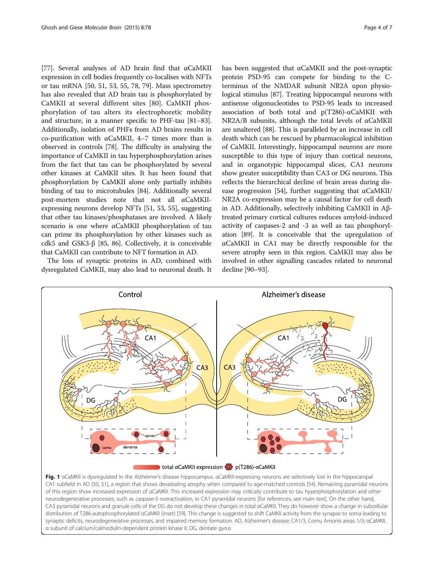<span id="page-3-0"></span>[[77](#page-6-0)]. Several analyses of AD brain find that αCaMKII expression in cell bodies frequently co-localises with NFTs or tau mRNA [[50](#page-5-0), [51](#page-5-0), [53, 55,](#page-5-0) [78, 79\]](#page-6-0). Mass spectrometry has also revealed that AD brain tau is phosphorylated by CaMKII at several different sites [[80](#page-6-0)]. CaMKII phosphorylation of tau alters its electrophoretic mobility and structure, in a manner specific to PHF-tau [\[81](#page-6-0)–[83](#page-6-0)]. Additionally, isolation of PHFs from AD brains results in co-purification with αCaMKII, 4–7 times more than is observed in controls [[78](#page-6-0)]. The difficulty in analysing the importance of CaMKII in tau hyperphosphorylation arises from the fact that tau can be phosphorylated by several other kinases at CaMKII sites. It has been found that phosphorylation by CaMKII alone only partially inhibits binding of tau to microtubules [\[84](#page-6-0)]. Additionally several post-mortem studies note that not all αCaMKIIexpressing neurons develop NFTs [\[51](#page-5-0), [53](#page-5-0), [55](#page-5-0)], suggesting that other tau kinases/phosphatases are involved. A likely scenario is one where αCaMKII phosphorylation of tau can prime its phosphorylation by other kinases such as cdk5 and GSK3-β [[85](#page-6-0), [86\]](#page-6-0). Collectively, it is conceivable that CaMKII can contribute to NFT formation in AD.

The loss of synaptic proteins in AD, combined with dysregulated CaMKII, may also lead to neuronal death. It

has been suggested that αCaMKII and the post-synaptic protein PSD-95 can compete for binding to the Cterminus of the NMDAR subunit NR2A upon physiological stimulus [\[87\]](#page-6-0). Treating hippocampal neurons with antisense oligonucleotides to PSD-95 leads to increased association of both total and p(T286)-αCaMKII with NR2A/B subunits, although the total levels of αCaMKII are unaltered [\[88\]](#page-6-0). This is paralleled by an increase in cell death which can be rescued by pharmacological inhibition of CaMKII. Interestingly, hippocampal neurons are more susceptible to this type of injury than cortical neurons, and in organotypic hippocampal slices, CA1 neurons show greater susceptibility than CA3 or DG neurons. This reflects the hierarchical decline of brain areas during dis-ease progression [[54](#page-5-0)], further suggesting that  $\alpha$ CaMKII/ NR2A co-expression may be a causal factor for cell death in AD. Additionally, selectively inhibiting CaMKII in Aβtreated primary cortical cultures reduces amyloid-induced activity of caspases-2 and -3 as well as tau phosphorylation [\[89\]](#page-6-0). It is conceivable that the upregulation of αCaMKII in CA1 may be directly responsible for the severe atrophy seen in this region. CaMKII may also be involved in other signalling cascades related to neuronal decline [[90](#page-6-0)–[93\]](#page-6-0).



CA1 subfield in AD [[50](#page-5-0), [51\]](#page-5-0), a region that shows devastating atrophy when compared to age-matched controls [\[54\]](#page-5-0). Remaining pyramidal neurons of this region show increased expression of αCaMKII. This increased expression may critically contribute to tau hyperphosphorylation and other neurodegenerative processes, such as caspase-3 overactivation, in CA1 pyramidal neurons [for references, see main text]. On the other hand, CA3 pyramidal neurons and granule cells of the DG do not develop these changes in total αCaMKII. They do however show a change in subcellular distribution of T286-autophosphorylated αCaMKII (inset) [[59\]](#page-5-0). This change is suggested to shift CaMKII activity from the synapse to soma leading to synaptic deficits, neurodegenerative processes, and impaired memory formation. AD, Alzheimer's disease; CA1/3, Cornu Amonis areas 1/3; αCaMKII, α subunit of calcium/calmodulin-dependent protein kinase II; DG, dentate gyrus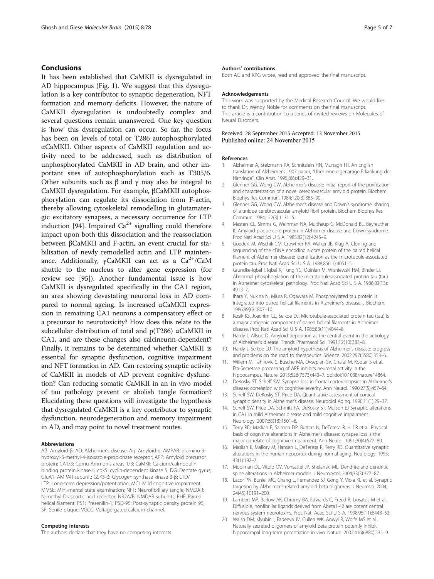### <span id="page-4-0"></span>Conclusions

It has been established that CaMKII is dysregulated in AD hippocampus (Fig. [1](#page-3-0)). We suggest that this dysregulation is a key contributor to synaptic degeneration, NFT formation and memory deficits. However, the nature of CaMKII dysregulation is undoubtedly complex and several questions remain unanswered. One key question is 'how' this dysregulation can occur. So far, the focus has been on levels of total or T286 autophosphorylated αCaMKII. Other aspects of CaMKII regulation and activity need to be addressed, such as distribution of unphosphorylated CaMKII in AD brain, and other important sites of autophosphorylation such as T305/6. Other subunits such as β and γ may also be integral to CaMKII dysregulation. For example, βCaMKII autophosphorylation can regulate its dissociation from F-actin, thereby allowing cytoskeletal remodelling in glutamatergic excitatory synapses, a necessary occurrence for LTP induction [[94\]](#page-6-0). Impaired  $Ca^{2+}$  signalling could therefore impact upon both this dissociation and the reassociation between βCaMKII and F-actin, an event crucial for stabilisation of newly remodelled actin and LTP maintenance. Additionally,  $\gamma$ CaMKII can act as a Ca<sup>2+</sup>/CaM shuttle to the nucleus to alter gene expression (for review see [[95](#page-6-0)]). Another fundamental issue is how CaMKII is dysregulated specifically in the CA1 region, an area showing devastating neuronal loss in AD compared to normal ageing. Is increased αCaMKII expression in remaining CA1 neurons a compensatory effect or a precursor to neurotoxicity? How does this relate to the subcellular distribution of total and p(T286) αCaMKII in CA1, and are these changes also calcineurin-dependent? Finally, it remains to be determined whether CaMKII is essential for synaptic dysfunction, cognitive impairment and NFT formation in AD. Can restoring synaptic activity of CaMKII in models of AD prevent cognitive dysfunction? Can reducing somatic CaMKII in an in vivo model of tau pathology prevent or abolish tangle formation? Elucidating these questions will investigate the hypothesis that dysregulated CaMKII is a key contributor to synaptic dysfunction, neurodegeneration and memory impairment in AD, and may point to novel treatment routes.

#### Abbreviations

Aβ: Amyloid-β; AD: Alzheimer's disease; Aη: Amyloid-η; AMPAR: α-amino-3 hydroxyl-5-methyl-4-isoxazole-propionate receptor; APP: Amyloid precursor protein; CA1/3: Cornu Ammonis areas 1/3; CaMKII: Calcium/calmodulin binding protein kinase II; cdk5: cyclin-dependent kinase 5; DG: Dentate gyrus; GluA1: AMPAR subunit; GSK3-β: Glycogen synthase kinase 3-β; LTD/ LTP: Long-term depression/potentiation; MCI: Mild cognitive impairment; MMSE: Mini-mental state examination; NFT: Neurofibrillary tangle; NMDAR: N-methyl-D-aspartic acid receptor; NR2A/B: NMDAR subunits; PHF: Paired helical filament; PS1: Presenilin-1; PSD-95: Post-synaptic density protein 95; SP: Senile plaque; VGCC: Voltage-gated calcium channel.

#### Competing interests

The authors declare that they have no competing interests.

#### Authors' contributions

Both AG and KPG wrote, read and approved the final manuscript.

#### Acknowledgements

This work was supported by the Medical Research Council. We would like to thank Dr. Wendy Noble for comments on the final manuscript. This article is a contribution to a series of invited reviews on Molecules of Neural Disorders.

#### Received: 28 September 2015 Accepted: 13 November 2015 Published online: 24 November 2015

#### References

- 1. Alzheimer A, Stelzmann RA, Schnitzlein HN, Murtagh FR. An English translation of Alzheimer's 1907 paper, "Uber eine eigenartige Erkankung der Hirnrinde". Clin Anat. 1995;8(6):429–31.
- 2. Glenner GG, Wong CW. Alzheimer's disease: initial report of the purification and characterization of a novel cerebrovascular amyloid protein. Biochem Biophys Res Commun. 1984;120(3):885–90.
- 3. Glenner GG, Wong CW. Alzheimer's disease and Down's syndrome: sharing of a unique cerebrovascular amyloid fibril protein. Biochem Biophys Res Commun. 1984;122(3):1131–5.
- 4. Masters CL, Simms G, Weinman NA, Multhaup G, McDonald BL, Beyreuther K. Amyloid plaque core protein in Alzheimer disease and Down syndrome. Proc Natl Acad Sci U S A. 1985;82(12):4245–9.
- 5. Goedert M, Wischik CM, Crowther RA, Walker JE, Klug A. Cloning and sequencing of the cDNA encoding a core protein of the paired helical filament of Alzheimer disease: identification as the microtubule-associated protein tau. Proc Natl Acad Sci U S A. 1988;85(11):4051–5.
- 6. Grundke-Iqbal I, Iqbal K, Tung YC, Quinlan M, Wisniewski HM, Binder LI. Abnormal phosphorylation of the microtubule-associated protein tau (tau) in Alzheimer cytoskeletal pathology. Proc Natl Acad Sci U S A. 1986;83(13): 4913–7.
- 7. Ihara Y, Nukina N, Miura R, Ogawara M. Phosphorylated tau protein is integrated into paired helical filaments in Alzheimer's disease. J Biochem. 1986;99(6):1807–10.
- 8. Kosik KS, Joachim CL, Selkoe DJ. Microtubule-associated protein tau (tau) is a major antigenic component of paired helical filaments in Alzheimer disease. Proc Natl Acad Sci U S A. 1986;83(11):4044–8.
- Hardy J, Allsop D. Amyloid deposition as the central event in the aetiology of Alzheimer's disease. Trends Pharmacol Sci. 1991;12(10):383–8.
- 10. Hardy J, Selkoe DJ. The amyloid hypothesis of Alzheimer's disease: progress and problems on the road to therapeutics. Science. 2002;297(5580):353–6.
- 11. Willem M, Tahirovic S, Busche MA, Ovsepian SV, Chafai M, Kootar S et al. Eta-Secretase processing of APP inhibits neuronal activity in the hippocampus. Nature. 2015;526(7573):443–7. doi:doi[:10.1038/nature14864.](http://dx.doi.org/10.1038/nature14864)
- 12. DeKosky ST, Scheff SW. Synapse loss in frontal cortex biopsies in Alzheimer's disease: correlation with cognitive severity. Ann Neurol. 1990;27(5):457–64.
- 13. Scheff SW, DeKosky ST, Price DA. Quantitative assessment of cortical synaptic density in Alzheimer's disease. Neurobiol Aging. 1990;11(1):29–37.
- 14. Scheff SW, Price DA, Schmitt FA, DeKosky ST, Mufson EJ Synaptic alterations in CA1 in mild Alzheimer disease and mild cognitive impairment. Neurology. 2007;68(18):1501–8.
- 15. Terry RD, Masliah E, Salmon DP, Butters N, DeTeresa R, Hill R et al. Physical basis of cognitive alterations in Alzheimer's disease: synapse loss is the major correlate of cognitive impairment. Ann Neurol. 1991;30(4):572–80.
- 16. Masliah E, Mallory M, Hansen L, DeTeresa R, Terry RD. Quantitative synaptic alterations in the human neocortex during normal aging. Neurology. 1993; 43(1):192–7.
- 17. Moolman DL, Vitolo OV, Vonsattel JP, Shelanski ML. Dendrite and dendritic spine alterations in Alzheimer models. J Neurocytol. 2004;33(3):377–87.
- 18. Lacor PN, Buniel MC, Chang L, Fernandez SJ, Gong Y, Viola KL et al. Synaptic targeting by Alzheimer's-related amyloid beta oligomers. J Neurosci. 2004; 24(45):10191–200.
- 19. Lambert MP, Barlow AK, Chromy BA, Edwards C, Freed R, Liosatos M et al. Diffusible, nonfibrillar ligands derived from Abeta1-42 are potent central nervous system neurotoxins. Proc Natl Acad Sci U S A. 1998;95(11):6448–53.
- 20. Walsh DM, Klyubin I, Fadeeva JV, Cullen WK, Anwyl R, Wolfe MS et al. Naturally secreted oligomers of amyloid beta protein potently inhibit hippocampal long-term potentiation in vivo. Nature. 2002;416(6880):535–9.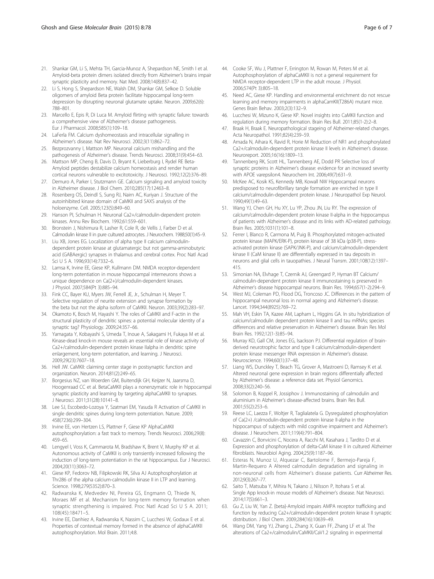- <span id="page-5-0"></span>21. Shankar GM, Li S, Mehta TH, Garcia-Munoz A, Shepardson NE, Smith I et al. Amyloid-beta protein dimers isolated directly from Alzheimer's brains impair synaptic plasticity and memory. Nat Med. 2008;14(8):837–42.
- 22. Li S, Hong S, Shepardson NE, Walsh DM, Shankar GM, Selkoe D. Soluble oligomers of amyloid Beta protein facilitate hippocampal long-term depression by disrupting neuronal glutamate uptake. Neuron. 2009;62(6): 788–801.
- 23. Marcello E, Epis R, Di Luca M. Amyloid flirting with synaptic failure: towards a comprehensive view of Alzheimer's disease pathogenesis. Eur J Pharmacol. 2008;585(1):109–18.
- 24. LaFerla FM. Calcium dyshomeostasis and intracellular signalling in Alzheimer's disease. Nat Rev Neurosci. 2002;3(11):862–72.
- 25. Bezprozvanny I, Mattson MP. Neuronal calcium mishandling and the pathogenesis of Alzheimer's disease. Trends Neurosci. 2008;31(9):454–63.
- 26. Mattson MP, Cheng B, Davis D, Bryant K, Lieberburg I, Rydel RE Beta-Amyloid peptides destabilize calcium homeostasis and render human cortical neurons vulnerable to excitotoxicity. J Neurosci. 1992;12(2):376–89.
- 27. Demuro A, Parker I, Stutzmann GE. Calcium signaling and amyloid toxicity in Alzheimer disease. J Biol Chem. 2010;285(17):12463–8.
- 28. Rosenberg OS, Deindl S, Sung RJ, Nairn AC, Kuriyan J. Structure of the autoinhibited kinase domain of CaMKII and SAXS analysis of the holoenzyme. Cell. 2005;123(5):849–60.
- 29. Hanson PI, Schulman H. Neuronal Ca2+/calmodulin-dependent protein kinases. Annu Rev Biochem. 1992;61:559–601.
- 30. Bronstein J, Nishimura R, Lasher R, Cole R, de Vellis J, Farber D et al. Calmodulin kinase II in pure cultured astrocytes. J Neurochem. 1988;50(1):45–9.
- 31. Liu XB, Jones EG. Localization of alpha type II calcium calmodulindependent protein kinase at glutamatergic but not gamma-aminobutyric acid (GABAergic) synapses in thalamus and cerebral cortex. Proc Natl Acad Sci U S A. 1996;93(14):7332–6.
- 32. Lamsa K, Irvine EE, Giese KP, Kullmann DM. NMDA receptor-dependent long-term potentiation in mouse hippocampal interneurons shows a unique dependence on Ca(2+)/calmodulin-dependent kinases. J Physiol. 2007;584(Pt 3):885–94.
- 33. Fink CC, Bayer KU, Myers JW, Ferrell JE, Jr., Schulman H, Meyer T. Selective regulation of neurite extension and synapse formation by the beta but not the alpha isoform of CaMKII. Neuron. 2003;39(2):283–97.
- 34. Okamoto K, Bosch M, Hayashi Y. The roles of CaMKII and F-actin in the structural plasticity of dendritic spines: a potential molecular identity of a synaptic tag? Physiology. 2009;24:357–66.
- 35. Yamagata Y, Kobayashi S, Umeda T, Inoue A, Sakagami H, Fukaya M et al. Kinase-dead knock-in mouse reveals an essential role of kinase activity of Ca2+/calmodulin-dependent protein kinase IIalpha in dendritic spine enlargement, long-term potentiation, and learning. J Neurosci. 2009;29(23):7607–18.
- 36. Hell JW. CaMKII: claiming center stage in postsynaptic function and organization. Neuron. 2014;81(2):249–65.
- 37. Borgesius NZ, van Woerden GM, Buitendijk GH, Keijzer N, Jaarsma D, Hoogenraad CC et al. BetaCaMKII plays a nonenzymatic role in hippocampal synaptic plasticity and learning by targeting alphaCaMKII to synapses. J Neurosci. 2011;31(28):10141–8.
- 38. Lee SJ, Escobedo-Lozoya Y, Szatmari EM, Yasuda R Activation of CaMKII in single dendritic spines during long-term potentiation. Nature. 2009; 458(7236):299–304.
- 39. Irvine EE, von Hertzen LS, Plattner F, Giese KP AlphaCaMKII autophosphorylation: a fast track to memory. Trends Neurosci. 2006;29(8): 459–65.
- 40. Lengyel I, Voss K, Cammarota M, Bradshaw K, Brent V, Murphy KP et al. Autonomous activity of CaMKII is only transiently increased following the induction of long-term potentiation in the rat hippocampus. Eur J Neurosci. 2004;20(11):3063–72.
- 41. Giese KP, Fedorov NB, Filipkowski RK, Silva AJ Autophosphorylation at Thr286 of the alpha calcium-calmodulin kinase II in LTP and learning. Science. 1998;279(5352):870–3.
- 42. Radwanska K, Medvedev NI, Pereira GS, Engmann O, Thiede N, Moraes MF et al. Mechanism for long-term memory formation when synaptic strengthening is impaired. Proc Natl Acad Sci U S A. 2011; 108(45):18471–5.
- 43. Irvine EE, Danhiez A, Radwanska K, Nassim C, Lucchesi W, Godaux E et al. Properties of contextual memory formed in the absence of alphaCaMKII autophosphorylation. Mol Brain. 2011;4:8.
- 44. Cooke SF, Wu J, Plattner F, Errington M, Rowan M, Peters M et al. Autophosphorylation of alphaCaMKII is not a general requirement for NMDA receptor-dependent LTP in the adult mouse. J Physiol. 2006;574(Pt 3):805–18.
- 45. Need AC, Giese KP. Handling and environmental enrichment do not rescue learning and memory impairments in alphaCamKII(T286A) mutant mice. Genes Brain Behav. 2003;2(3):132–9.
- 46. Lucchesi W, Mizuno K, Giese KP. Novel insights into CaMKII function and regulation during memory formation. Brain Res Bull. 2011;85(1-2):2–8.
- 47. Braak H, Braak E. Neuropathological stageing of Alzheimer-related changes. Acta Neuropathol. 1991;82(4):239–59.
- 48. Amada N, Aihara K, Ravid R, Horie M Reduction of NR1 and phosphorylated Ca2+/calmodulin-dependent protein kinase II levels in Alzheimer's disease. Neuroreport. 2005;16(16):1809–13.
- 49. Tannenberg RK, Scott HL, Tannenberg AE, Dodd PR Selective loss of synaptic proteins in Alzheimer's disease: evidence for an increased severity with APOE varepsilon4. Neurochem Int. 2006;49(7):631–9.
- 50. McKee AC, Kosik KS, Kennedy MB, Kowall NW Hippocampal neurons predisposed to neurofibrillary tangle formation are enriched in type II calcium/calmodulin-dependent protein kinase. J Neuropathol Exp Neurol. 1990;49(1):49–63.
- 51. Wang YJ, Chen GH, Hu XY, Lu YP, Zhou JN, Liu RY. The expression of calcium/calmodulin-dependent protein kinase II-alpha in the hippocampus of patients with Alzheimer's disease and its links with AD-related pathology. Brain Res. 2005;1031(1):101–8.
- 52. Ferrer I, Blanco R, Carmona M, Puig B. Phosphorylated mitogen-activated protein kinase (MAPK/ERK-P), protein kinase of 38 kDa (p38-P), stressactivated protein kinase (SAPK/JNK-P), and calcium/calmodulin-dependent kinase II (CaM kinase II) are differentially expressed in tau deposits in neurons and glial cells in tauopathies. J Neural Transm. 2001;108(12):1397– 415.
- 53. Simonian NA, Elvhage T, Czernik AJ, Greengard P, Hyman BT Calcium/ calmodulin-dependent protein kinase II immunostaining is preserved in Alzheimer's disease hippocampal neurons. Brain Res. 1994;657(1-2):294–9.
- 54. West MJ, Coleman PD, Flood DG, Troncoso JC. Differences in the pattern of hippocampal neuronal loss in normal ageing and Alzheimer's disease. Lancet. 1994;344(8925):769–72.
- 55. Mah VH, Eskin TA, Kazee AM, Lapham L, Higgins GA. In situ hybridization of calcium/calmodulin dependent protein kinase II and tau mRNAs; species differences and relative preservation in Alzheimer's disease. Brain Res Mol Brain Res. 1992;12(1-3):85–94.
- 56. Murray KD, Gall CM, Jones EG, Isackson PJ. Differential regulation of brainderived neurotrophic factor and type II calcium/calmodulin-dependent protein kinase messenger RNA expression in Alzheimer's disease. Neuroscience. 1994;60(1):37–48.
- 57. Liang WS, Dunckley T, Beach TG, Grover A, Mastroeni D, Ramsey K et al. Altered neuronal gene expression in brain regions differentially affected by Alzheimer's disease: a reference data set. Physiol Genomics. 2008;33(2):240–56.
- 58. Solomon B, Koppel R, Jossiphov J. Immunostaining of calmodulin and aluminium in Alzheimer's disease-affected brains. Brain Res Bull. 2001;55(2):253–6.
- 59. Reese LC, Laezza F, Woltjer R, Taglialatela G. Dysregulated phosphorylation of Ca(2+) /calmodulin-dependent protein kinase II-alpha in the hippocampus of subjects with mild cognitive impairment and Alzheimer's disease. J Neurochem. 2011;119(4):791–804.
- Cavazzin C, Bonvicini C, Nocera A, Racchi M, Kasahara J, Tardito D et al. Expression and phosphorylation of delta-CaM kinase II in cultured Alzheimer fibroblasts. Neurobiol Aging. 2004;25(9):1187–96.
- 61. Esteras N, Munoz U, Alquezar C, Bartolome F, Bermejo-Pareja F, Martin-Requero A Altered calmodulin degradation and signaling in non-neuronal cells from Alzheimer's disease patients. Curr Alzheimer Res. 2012;9(3):267–77.
- 62. Saito T, Matsuba Y, Mihira N, Takano J, Nilsson P, Itohara S et al. Single App knock-in mouse models of Alzheimer's disease. Nat Neurosci. 2014;17(5):661–3.
- 63. Gu Z, Liu W, Yan Z. {beta}-Amyloid impairs AMPA receptor trafficking and function by reducing Ca2+/calmodulin-dependent protein kinase II synaptic distribution. J Biol Chem. 2009;284(16):10639–49.
- 64. Wang DM, Yang YJ, Zhang L, Zhang X, Guan FF, Zhang LF et al. The alterations of Ca2+/calmodulin/CaMKII/CaV1.2 signaling in experimental